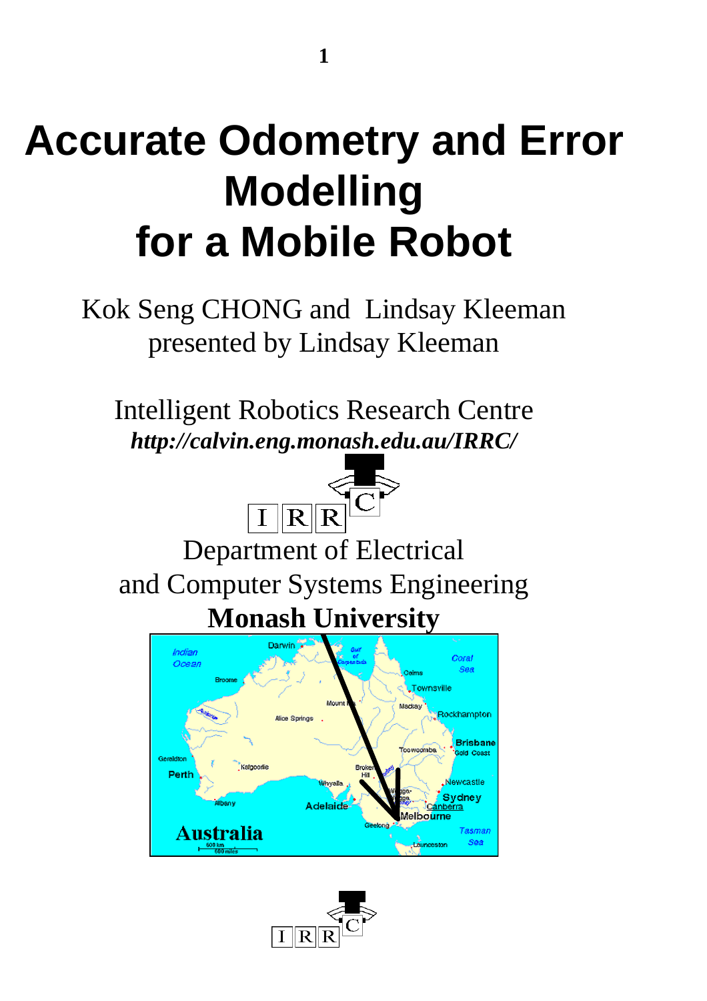## **Accurate Odometry and Error Modelling for a Mobile Robot**

Kok Seng CHONG and Lindsay Kleeman presented by Lindsay Kleeman

Intelligent Robotics Research Centre *http://calvin.eng.monash.edu.au/IRRC/*



 $\boxed{\text{I} \mid \text{R} \mid \text{R} \mid}^{\text{C}}$  Department of Electrical and Computer Systems Engineering **Monash University**



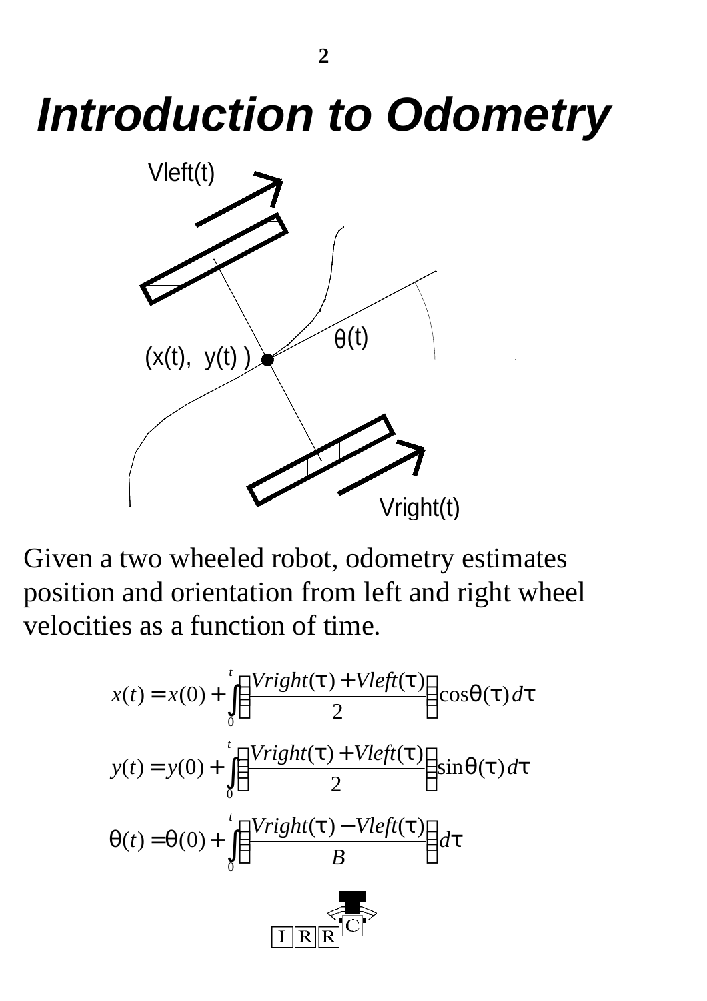# *Introduction to Odometry*



Given a two wheeled robot, odometry estimates position and orientation from left and right wheel velocities as a function of time.

$$
x(t) = x(0) + \int_{0}^{t} \left( \frac{Vright(t) + Vleft(t)}{2} \right) \cos q(t) dt
$$
  

$$
y(t) = y(0) + \int_{0}^{t} \left( \frac{Vright(t) + Vleft(t)}{2} \right) \sin q(t) dt
$$
  

$$
q(t) = q(0) + \int_{0}^{t} \left( \frac{Vright(t) - Vleft(t)}{B} \right) dt
$$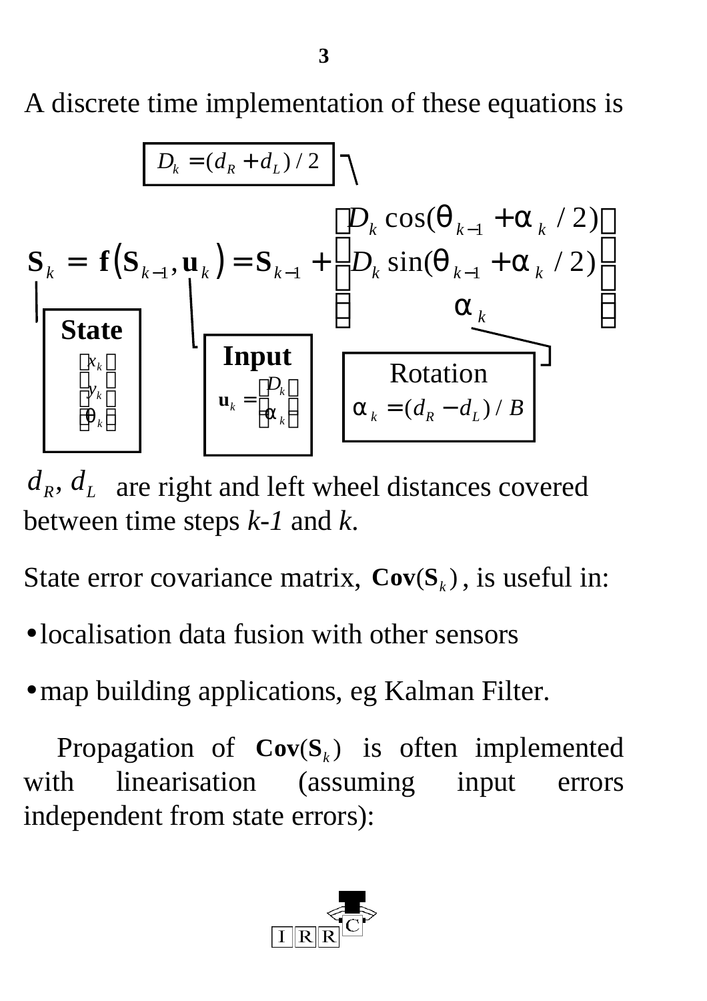A discrete time implementation of these equations is



 $d_R$ ,  $d_L$  are right and left wheel distances covered between time steps *k-1* and *k*.

State error covariance matrix,  $Cov(S_k)$ , is useful in:

- localisation data fusion with other sensors
- map building applications, eg Kalman Filter.

Propagation of  $Cov(S_k)$  is often implemented with linearisation (assuming input errors independent from state errors):

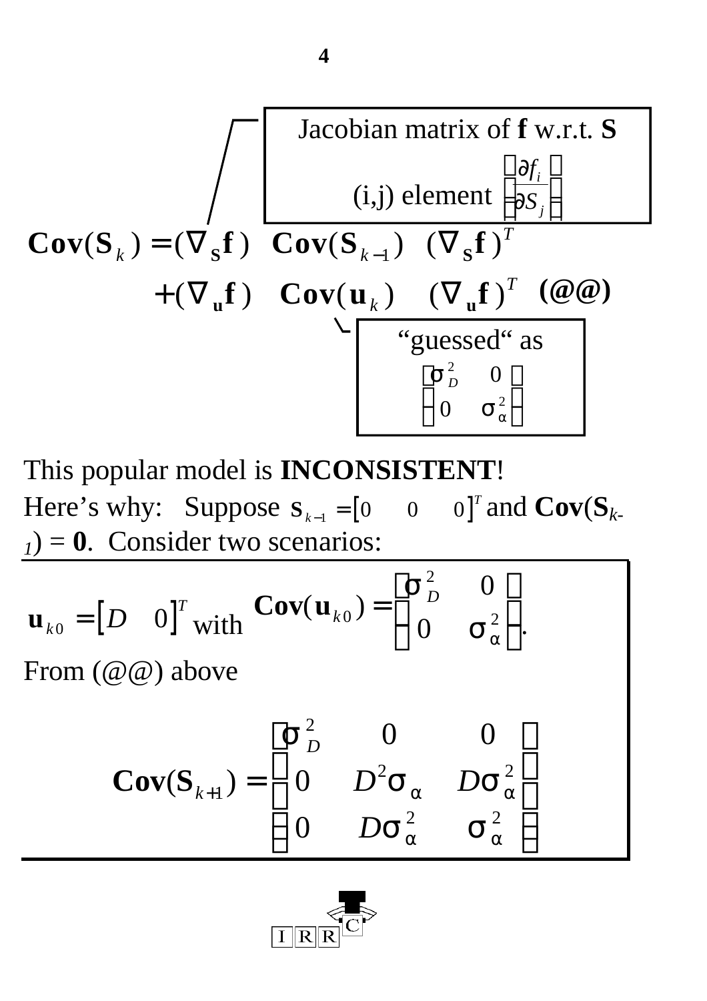Cov(S<sub>k</sub>) = 
$$
(\nabla_{\mathbf{s}} \mathbf{f})
$$
 Cov(S<sub>k-1</sub>) (i,j) element  $\left[\frac{\mathbf{y}_{i}}{\mathbf{y}_{s}}\right]$   
\n
$$
+ (\nabla_{\mathbf{u}} \mathbf{f})
$$
 Cov(S<sub>k-1</sub>)  $(\nabla_{\mathbf{s}} \mathbf{f})^{T}$   
\n
$$
+ (\nabla_{\mathbf{u}} \mathbf{f})
$$
 Cov( $\mathbf{u}_{k}$ )  $(\nabla_{\mathbf{u}} \mathbf{f})^{T}$  ( $\omega \omega$ )  
\n
$$
(\nabla_{\mathbf{u}} \mathbf{f})^{T}
$$
 (  $\omega \omega$ )  
\n
$$
(\nabla_{\mathbf{u}} \mathbf{f})^{T}
$$
 (  $\omega \omega$ )  
\n
$$
(\nabla_{\mathbf{u}} \mathbf{f})^{T}
$$
 (  $\omega \omega$ )  
\n
$$
(\nabla_{\mathbf{u}} \mathbf{f})^{T}
$$
 (  $\omega \omega$ )  
\n
$$
\left[\nabla_{\mathbf{u}}^{2}
$$
 (  $\omega$ )  
\n
$$
\left[\nabla_{\mathbf{u}}^{2}
$$
 (  $\omega$ )  
\n
$$
\omega
$$

This popular model is **INCONSISTENT**! Here's why: Suppose  $S_{k-1} = \begin{bmatrix} 0 & 0 & 0 \end{bmatrix}^T$  $\mathbf{C}_-$ <sub>1</sub> = [0 0 0]<sup>T</sup> and **Cov**( $\mathbf{S}_k$ .  $_1$ ) = **0**. Consider two scenarios:

$$
\mathbf{u}_{k0} = [D \quad 0]^T \text{ with } \mathbf{Cov}(\mathbf{u}_{k0}) = \begin{bmatrix} \mathbf{s}_D^2 & 0 \\ 0 & \mathbf{s}_a^2 \end{bmatrix}.
$$
  
From  $(\omega \omega)$  above  

$$
\mathbf{Cov}(\mathbf{S}_{k+1}) = \begin{bmatrix} \mathbf{s}_D^2 & 0 & 0 \\ 0 & D^2 \mathbf{s}_a & D \mathbf{s}_a^2 \\ 0 & D \mathbf{s}_a^2 & \mathbf{s}_a^2 \end{bmatrix}
$$

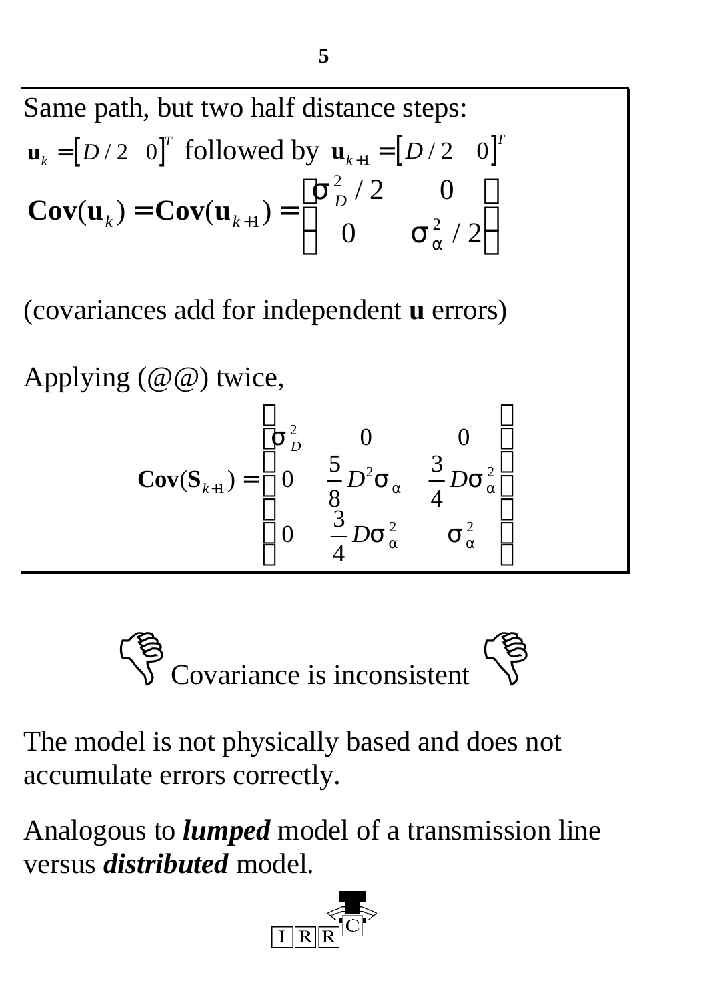Same path, but two half distance steps:  $\mathbf{u}_k = [D \mid 2 \quad 0]^T$  followed by  $\mathbf{u}_{k+1} = [D \mid 2 \quad 0]^T$  $Cov(\mathbf{u}_{k}) = Cov(\mathbf{u}_{k+1})$ /  $\mathbf{K}^{\prime}$  **cov**( $\mathbf{u}_{k+1}$ ) –  $\begin{pmatrix} 0 & \mathbf{s}_{a}^{2} \end{pmatrix}$  $=\mathbf{Cov}(\mathbf{u}_{k+1})=\begin{bmatrix} \mathbf{D} & b \end{bmatrix}$  $\mathsf{I}$  $\lfloor$  $\overline{\phantom{a}}$  $\overline{\phantom{a}}$  $\rfloor$  $_{+1}) = \begin{vmatrix} 1 & 1 \\ 0 & 0 \end{vmatrix}$ 2 2 2 0 0  $\mathbf{s}_a^2/2$ *s*  $S_a^2$ 

(covariances add for independent **u** errors)

Applying (@@) twice,

$$
Cov(S_{k+1}) = \begin{bmatrix} s_{D}^{2} & 0 & 0 \\ 0 & \frac{5}{8} D^{2} s_{a} & \frac{3}{4} D s_{a}^{2} \\ 0 & \frac{3}{4} D s_{a}^{2} & s_{a}^{2} \end{bmatrix}
$$



The model is not physically based and does not accumulate errors correctly.

Analogous to *lumped* model of a transmission line versus *distributed* model.

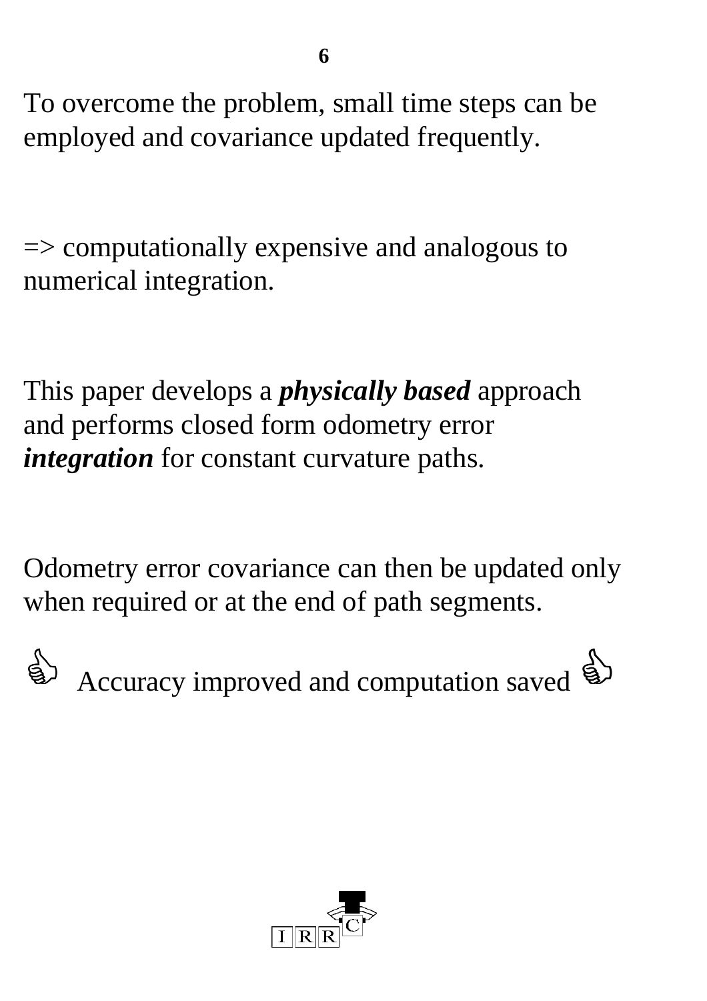To overcome the problem, small time steps can be employed and covariance updated frequently.

=> computationally expensive and analogous to numerical integration.

This paper develops a *physically based* approach and performs closed form odometry error *integration* for constant curvature paths.

Odometry error covariance can then be updated only when required or at the end of path segments.

Accuracy improved and computation saved  $\mathbb{R}$ 

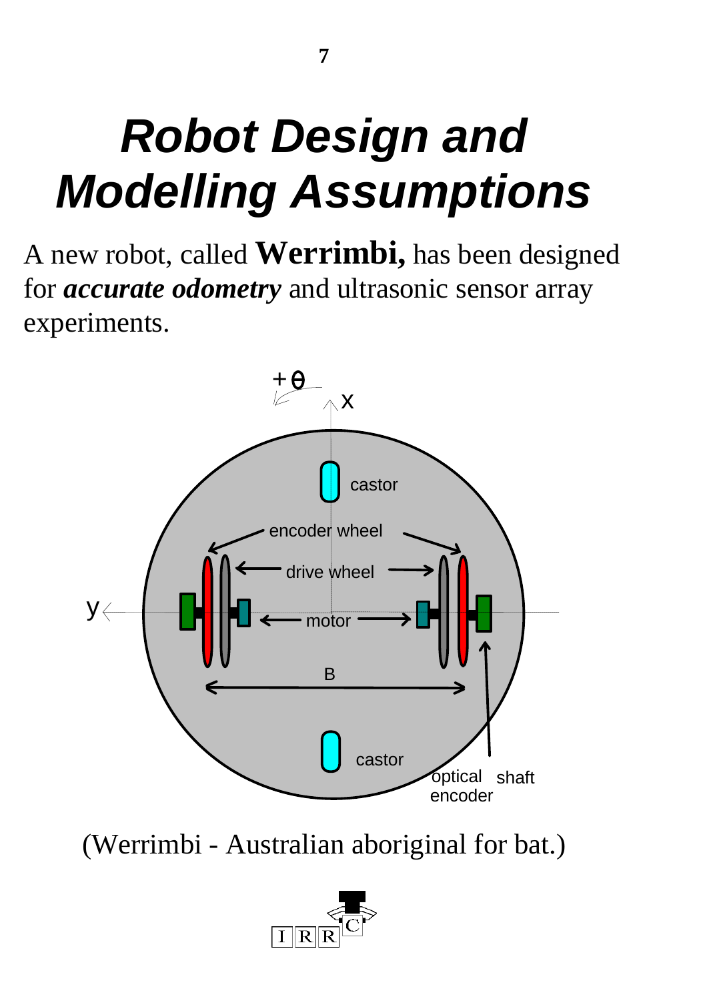# *Robot Design and Modelling Assumptions*

A new robot, called **Werrimbi,** has been designed for *accurate odometry* and ultrasonic sensor array experiments.



(Werrimbi - Australian aboriginal for bat.)

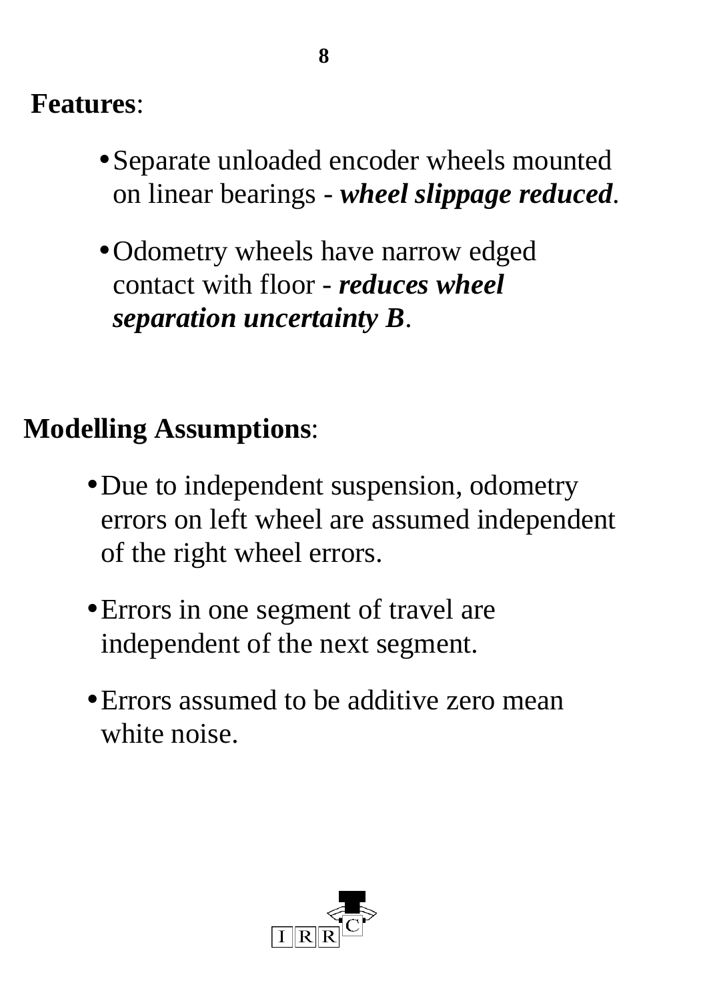### **Features**:

- Separate unloaded encoder wheels mounted on linear bearings - *wheel slippage reduced*.
- •Odometry wheels have narrow edged contact with floor - *reduces wheel separation uncertainty B*.

### **Modelling Assumptions**:

- Due to independent suspension, odometry errors on left wheel are assumed independent of the right wheel errors.
- Errors in one segment of travel are independent of the next segment.
- Errors assumed to be additive zero mean white noise.

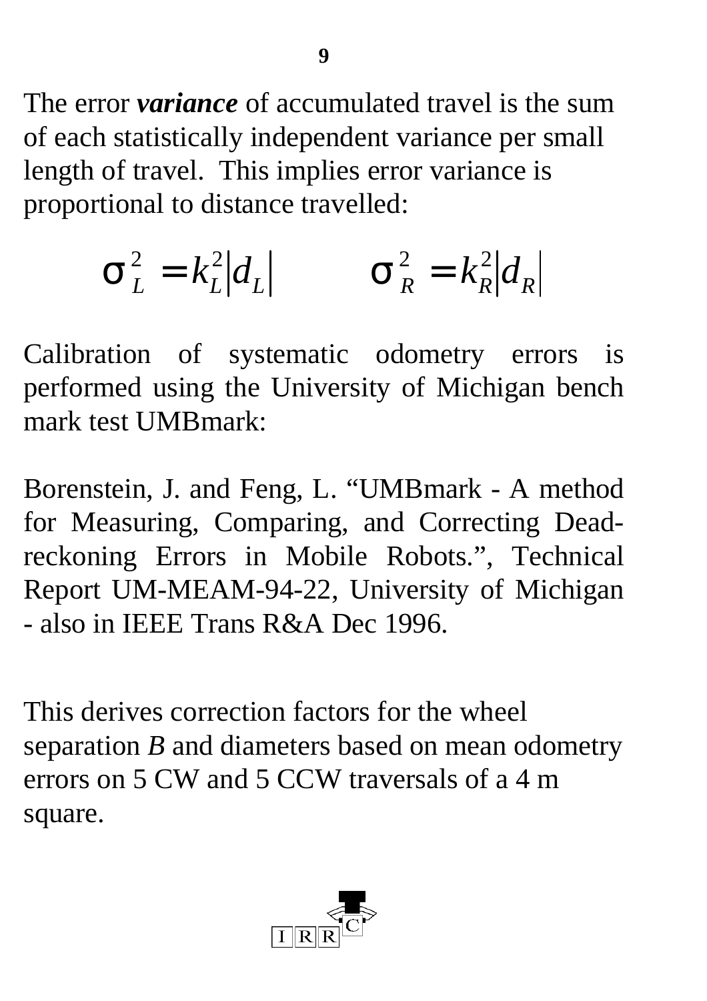The error *variance* of accumulated travel is the sum of each statistically independent variance per small length of travel. This implies error variance is proportional to distance travelled:

$$
\boldsymbol{S}_L^2 = k_L^2 |d_L| \qquad \boldsymbol{S}_R^2 = k_R^2 |d_R|
$$

Calibration of systematic odometry errors is performed using the University of Michigan bench mark test UMBmark:

Borenstein, J. and Feng, L. "UMBmark - A method for Measuring, Comparing, and Correcting Deadreckoning Errors in Mobile Robots.", Technical Report UM-MEAM-94-22, University of Michigan - also in IEEE Trans R&A Dec 1996.

This derives correction factors for the wheel separation *B* and diameters based on mean odometry errors on 5 CW and 5 CCW traversals of a 4 m square.

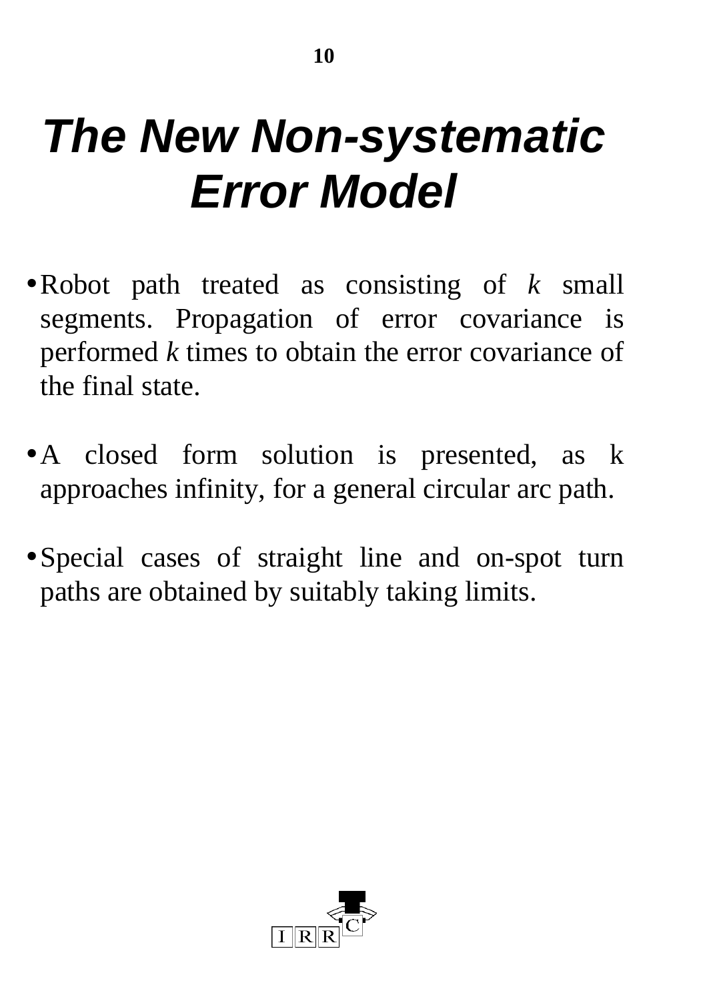# *The New Non-systematic Error Model*

- •Robot path treated as consisting of *k* small segments. Propagation of error covariance is performed *k* times to obtain the error covariance of the final state.
- A closed form solution is presented, as k approaches infinity, for a general circular arc path.
- •Special cases of straight line and on-spot turn paths are obtained by suitably taking limits.

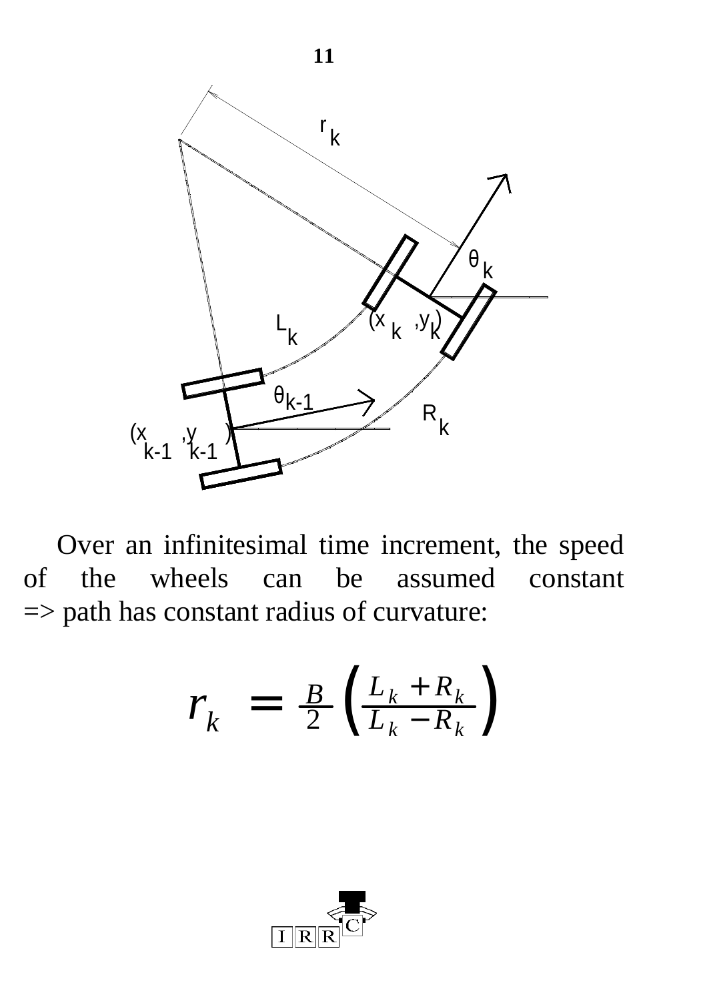

Over an infinitesimal time increment, the speed of the wheels can be assumed constant => path has constant radius of curvature:

$$
r_k = \frac{B}{2} \left( \frac{L_k + R_k}{L_k - R_k} \right)
$$

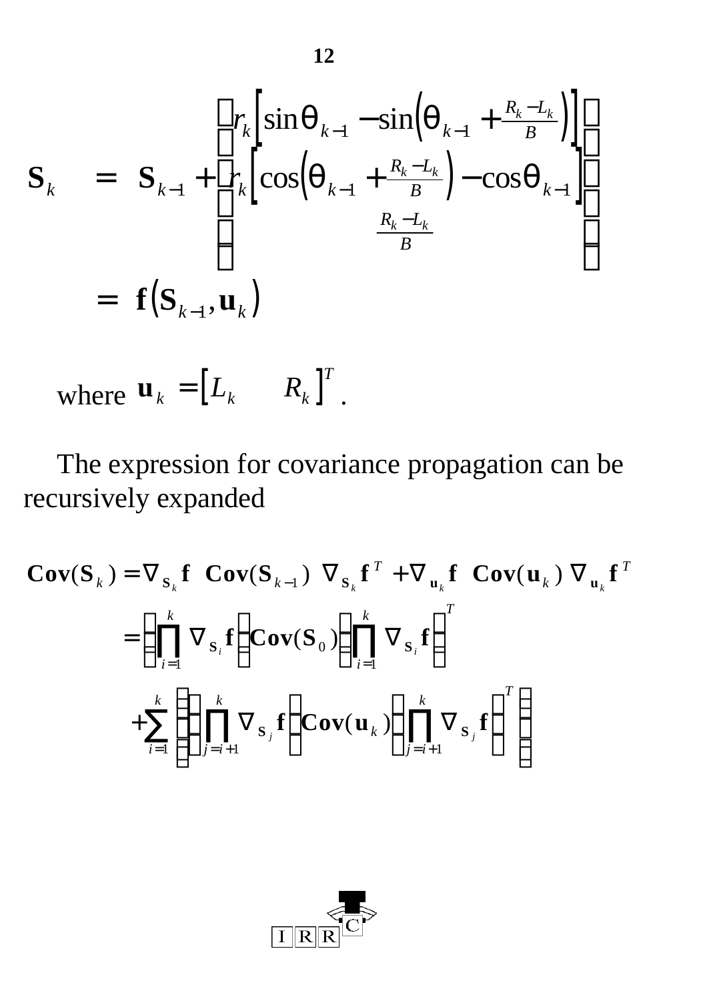$$
\mathbf{S}_{k} = \mathbf{S}_{k-1} + \begin{bmatrix} r_{k} \left[ \sin \mathbf{q}_{k-1} - \sin \left( \mathbf{q}_{k-1} + \frac{R_{k} - L_{k}}{B} \right) \right] \\ r_{k} \left[ \cos \left( \mathbf{q}_{k-1} + \frac{R_{k} - L_{k}}{B} \right) - \cos \mathbf{q}_{k-1} \right] \\ \frac{R_{k} - L_{k}}{B} \end{bmatrix}
$$
  
=  $\mathbf{f}(\mathbf{S}_{k-1}, \mathbf{u}_{k})$ 

where 
$$
\mathbf{u}_k = \begin{bmatrix} L_k & R_k \end{bmatrix}^T
$$
.

The expression for covariance propagation can be recursively expanded

$$
\mathbf{Cov}(\mathbf{S}_k) = \nabla_{\mathbf{S}_k} \mathbf{f} \quad \mathbf{Cov}(\mathbf{S}_{k-1}) \quad \nabla_{\mathbf{S}_k} \mathbf{f}^T + \nabla_{\mathbf{u}_k} \mathbf{f} \quad \mathbf{Cov}(\mathbf{u}_k) \quad \nabla_{\mathbf{u}_k} \mathbf{f}^T
$$
\n
$$
= \left( \prod_{i=1}^k \nabla_{\mathbf{S}_i} \mathbf{f} \right) \mathbf{Cov}(\mathbf{S}_0) \left( \prod_{i=1}^k \nabla_{\mathbf{S}_i} \mathbf{f} \right)^T
$$
\n
$$
+ \sum_{i=1}^k \left\{ \left( \prod_{j=i+1}^k \nabla_{\mathbf{S}_j} \mathbf{f} \right) \mathbf{Cov}(\mathbf{u}_k) \left( \prod_{j=i+1}^k \nabla_{\mathbf{S}_j} \mathbf{f} \right)^T \right\}
$$

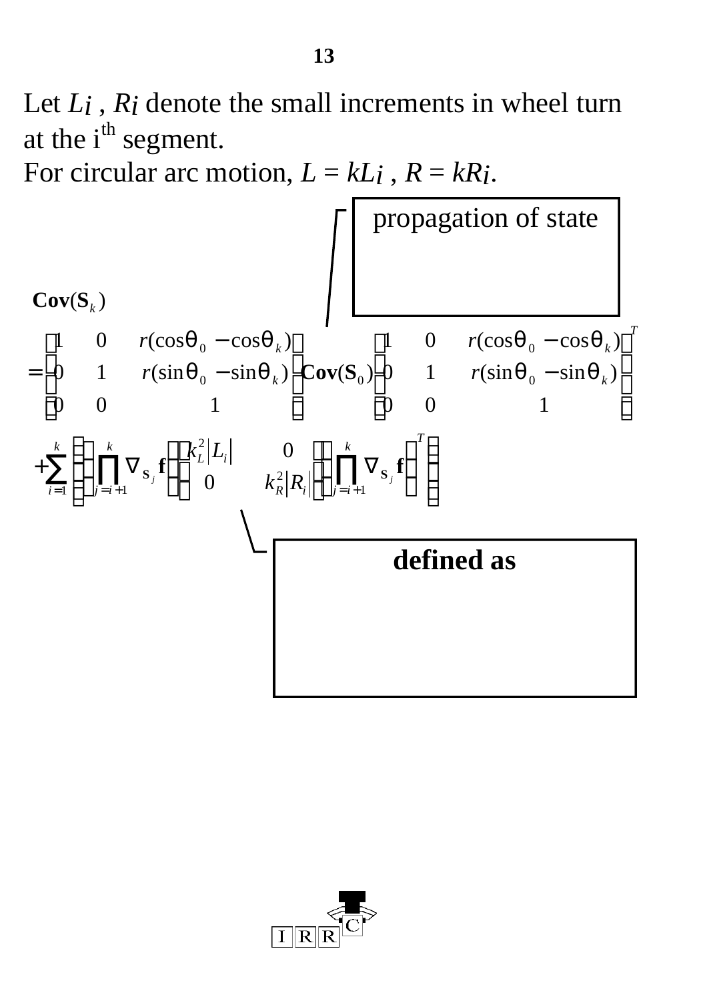Let *Li* , *Ri* denote the small increments in wheel turn at the  $i<sup>th</sup>$  segment.

For circular arc motion,  $L = kL_i$ ,  $R = kR_i$ .



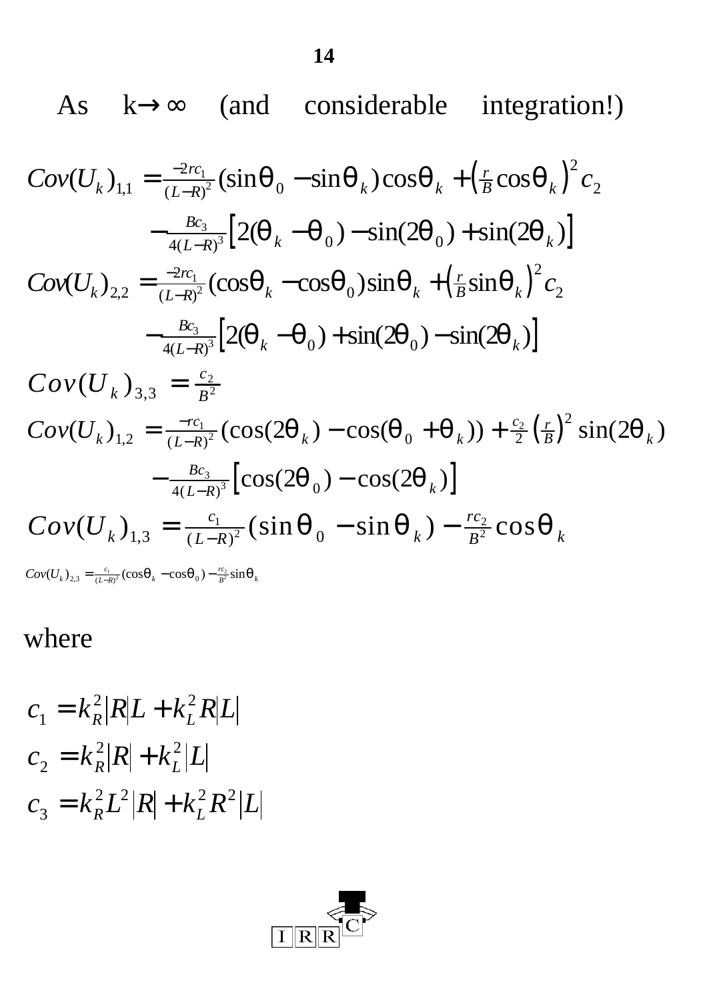As  $k \rightarrow \infty$  (and considerable integration!)

$$
Cov(U_k)_{1,1} = \frac{-2rc_1}{(L-R)^2} (\sin \boldsymbol{q}_0 - \sin \boldsymbol{q}_k) \cos \boldsymbol{q}_k + (\frac{r}{B} \cos \boldsymbol{q}_k)^2 c_2
$$
  
\n
$$
-\frac{Bc_3}{4(L-R)^3} [2(\boldsymbol{q}_k - \boldsymbol{q}_0) - \sin(2\boldsymbol{q}_0) + \sin(2\boldsymbol{q}_k)]
$$
  
\n
$$
Cov(U_k)_{2,2} = \frac{-2rc_1}{(L-R)^2} (\cos \boldsymbol{q}_k - \cos \boldsymbol{q}_0) \sin \boldsymbol{q}_k + (\frac{r}{B} \sin \boldsymbol{q}_k)^2 c_2
$$
  
\n
$$
-\frac{Bc_3}{4(L-R)^3} [2(\boldsymbol{q}_k - \boldsymbol{q}_0) + \sin(2\boldsymbol{q}_0) - \sin(2\boldsymbol{q}_k)]
$$
  
\n
$$
Cov(U_k)_{3,3} = \frac{c_2}{B^2}
$$

$$
Cov(U_k)_{1,2} = \frac{-rc_1}{(L-R)^2} \left(\cos(2\boldsymbol{q}_k) - \cos(\boldsymbol{q}_0 + \boldsymbol{q}_k)\right) + \frac{c_2}{2} \left(\frac{r}{B}\right)^2 \sin(2\boldsymbol{q}_k)
$$
  
 
$$
- \frac{Bc_3}{4(L-R)^3} \left[\cos(2\boldsymbol{q}_0) - \cos(2\boldsymbol{q}_k)\right]
$$
  
\n
$$
Cov(U_k)_{1,3} = \frac{c_1}{(L-R)^2} \left(\sin \boldsymbol{q}_0 - \sin \boldsymbol{q}_k\right) - \frac{rc_2}{B^2} \cos \boldsymbol{q}_k
$$
  
\n
$$
Cov(U_{k})_{2,3} = \frac{c_1}{(L-R)^2} \left(\cos \boldsymbol{q}_k - \cos \boldsymbol{q}_0\right) - \frac{rc_2}{B^2} \sin \boldsymbol{q}_k
$$

#### where

$$
c_1 = k_R^2 |R|L + k_L^2 R |L|
$$
  
\n
$$
c_2 = k_R^2 |R| + k_L^2 |L|
$$
  
\n
$$
c_3 = k_R^2 L^2 |R| + k_L^2 R^2 |L|
$$

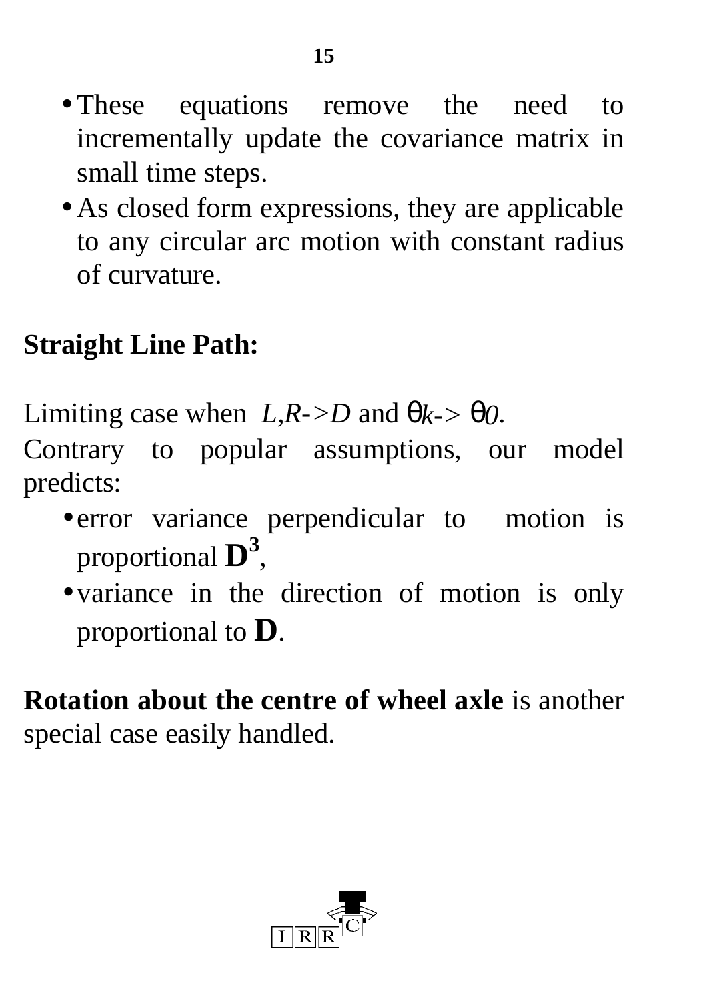- These equations remove the need to incrementally update the covariance matrix in small time steps.
- As closed form expressions, they are applicable to any circular arc motion with constant radius of curvature.

## **Straight Line Path:**

Limiting case when  $L, R \rightarrow D$  and  $\theta_{k-} > \theta_0$ .

Contrary to popular assumptions, our model predicts:

- error variance perpendicular to motion is proportional **D 3** ,
- variance in the direction of motion is only proportional to **D**.

**Rotation about the centre of wheel axle** is another special case easily handled.

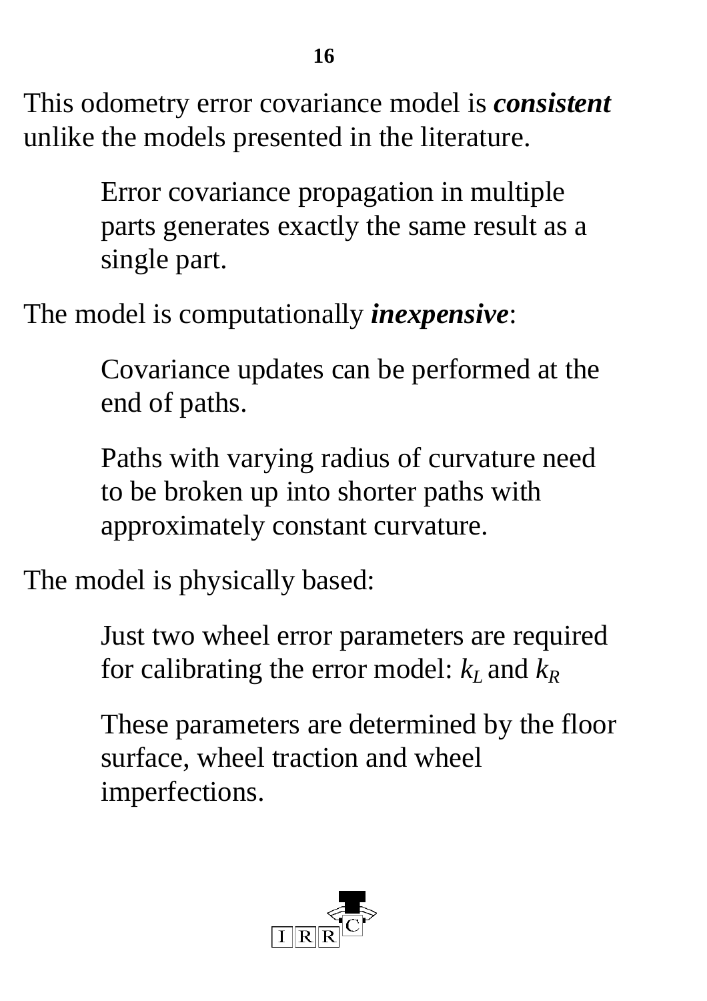This odometry error covariance model is *consistent* unlike the models presented in the literature.

> Error covariance propagation in multiple parts generates exactly the same result as a single part.

The model is computationally *inexpensive*:

Covariance updates can be performed at the end of paths.

Paths with varying radius of curvature need to be broken up into shorter paths with approximately constant curvature.

The model is physically based:

Just two wheel error parameters are required for calibrating the error model:  $k_L$  and  $k_R$ 

These parameters are determined by the floor surface, wheel traction and wheel imperfections.



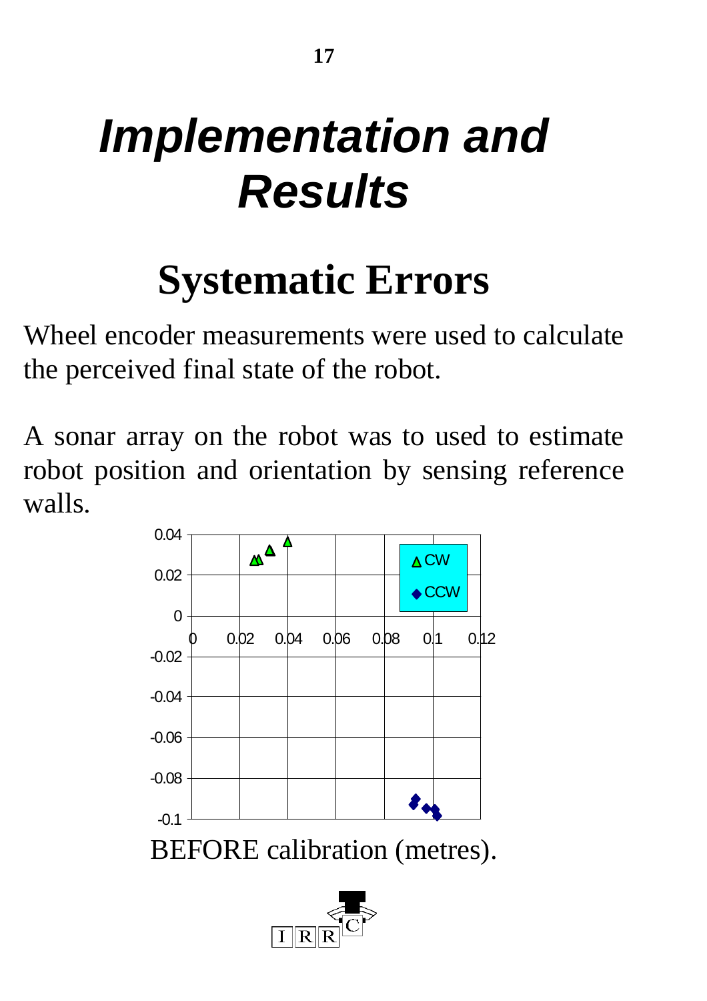# *Implementation and Results*

# **Systematic Errors**

Wheel encoder measurements were used to calculate the perceived final state of the robot.

A sonar array on the robot was to used to estimate robot position and orientation by sensing reference walls.

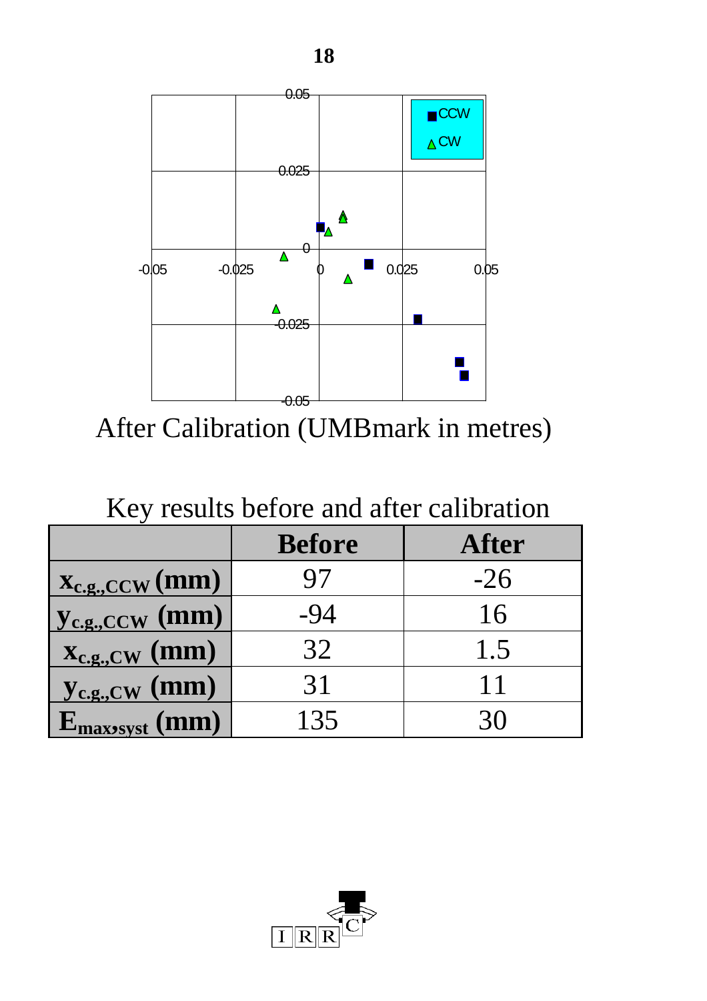

After Calibration (UMBmark in metres)

#### Key results before and after calibration

|                     | <b>Before</b> | After |
|---------------------|---------------|-------|
| $X_{c.g.,CCW}(mm)$  |               | $-26$ |
| $y_{c.g.,CCW}$ (mm) | -94           | 16    |
| $X_{c.g., CW}$ (mm) | 32            | 1.5   |
| $y_{c.g., CW}$ (mm) | 31            | 11    |
| $E_{max\,yst}$ (mm) | 135           |       |

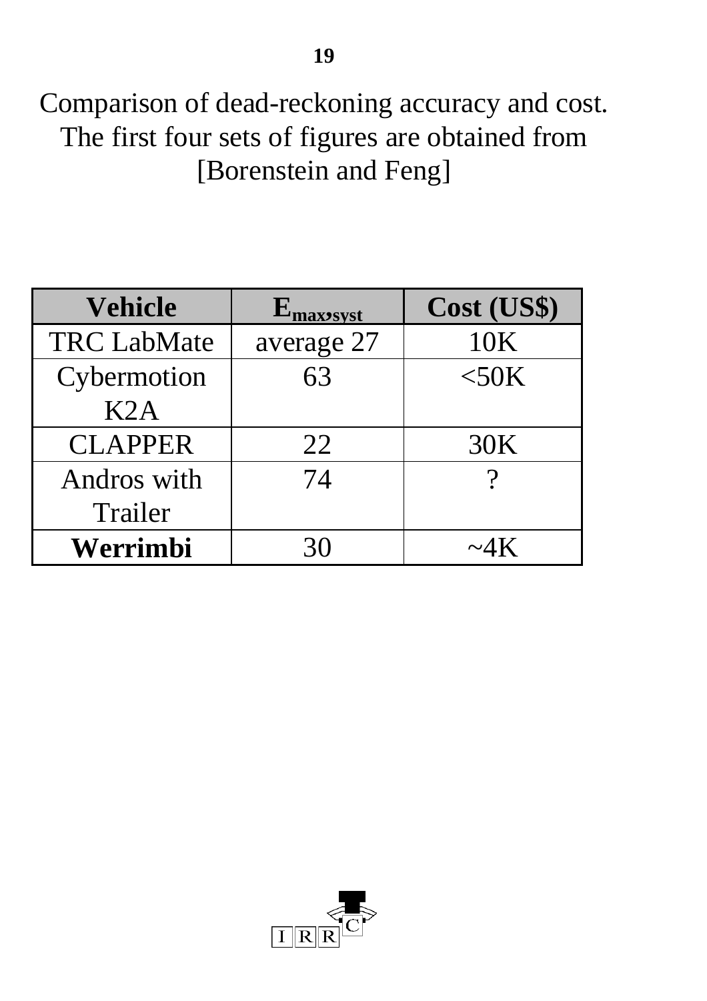Comparison of dead-reckoning accuracy and cost. The first four sets of figures are obtained from [Borenstein and Feng]

| Vehicle            | $E_{\rm maxssyst}$ | Cost (US\$) |
|--------------------|--------------------|-------------|
| <b>TRC LabMate</b> | average 27         | 10K         |
| Cybermotion        | 63                 | $<$ 50K     |
| K2A                |                    |             |
| <b>CLAPPER</b>     | 22                 | 30K         |
| Andros with        | 74                 |             |
| Trailer            |                    |             |
| Werrimbi           | 30                 |             |

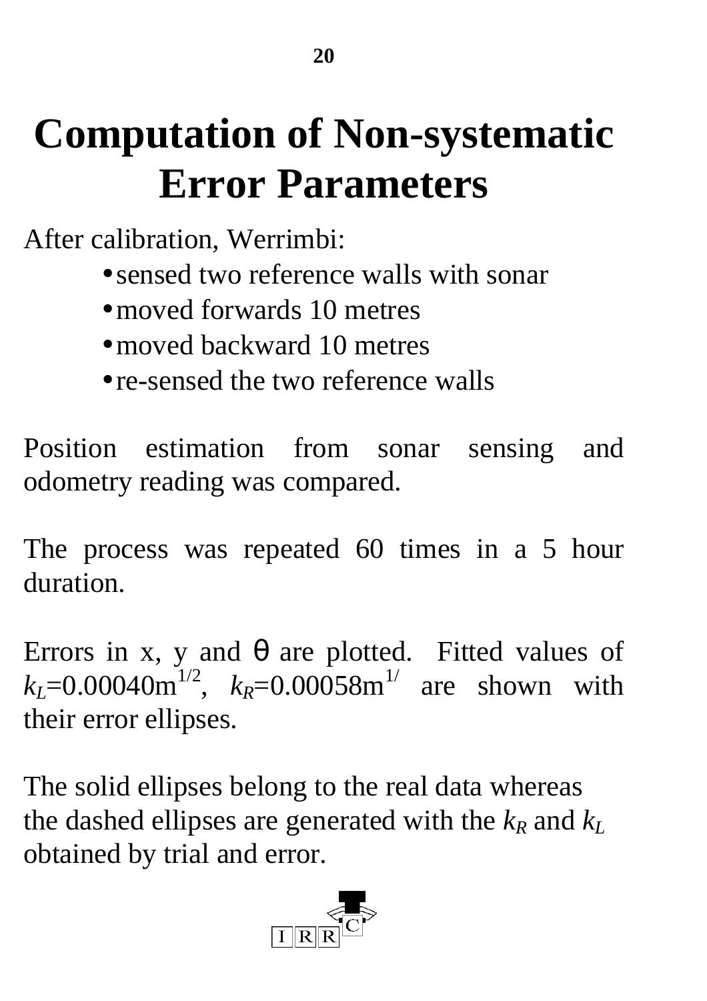## **Computation of Non-systematic Error Parameters**

After calibration, Werrimbi:

- sensed two reference walls with sonar
- moved forwards 10 metres
- moved backward 10 metres
- re-sensed the two reference walls

Position estimation from sonar sensing and odometry reading was compared.

The process was repeated 60 times in a 5 hour duration.

Errors in x, y and  $\theta$  are plotted. Fitted values of  $k_L$ =0.00040m<sup>1/2</sup>,  $k_R$ =0.00058m<sup>1/</sup> are shown with their error ellipses.

The solid ellipses belong to the real data whereas the dashed ellipses are generated with the  $k_R$  and  $k_L$ obtained by trial and error.

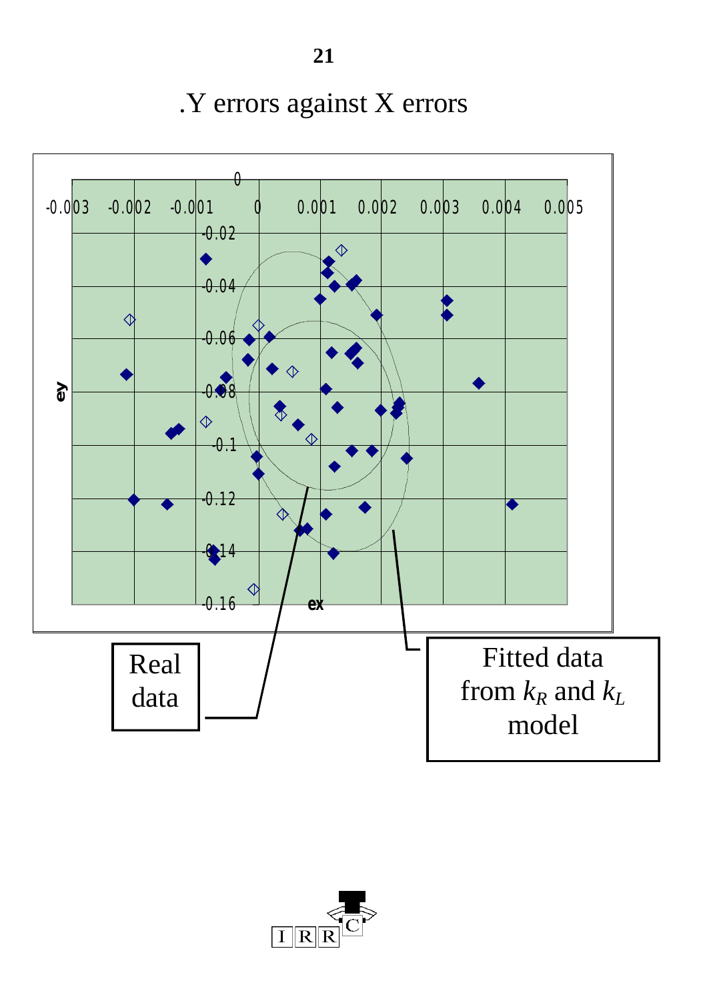.Y errors against X errors



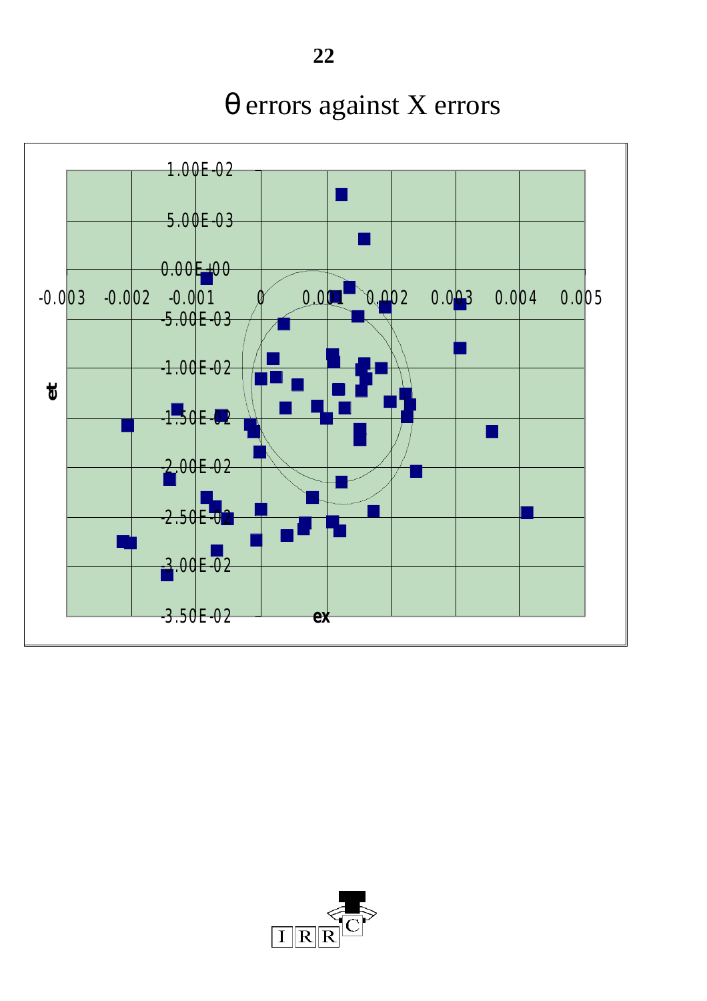1.00E-02  $\overline{\phantom{a}}$ 5.00E-03  $\vert \ \ \vert$  $0.00E + 00$ -0.003 -0.002 -0.001 0 0.001 0.002 0.003 0.004 0.005 -5.00E-03 -1.00E-02 **et** $-1.50E - 02$ × -2.00E-02  $-2.50E-02$ -3.00E-02 -3.50E-02 **ex**

### θ errors against X errors

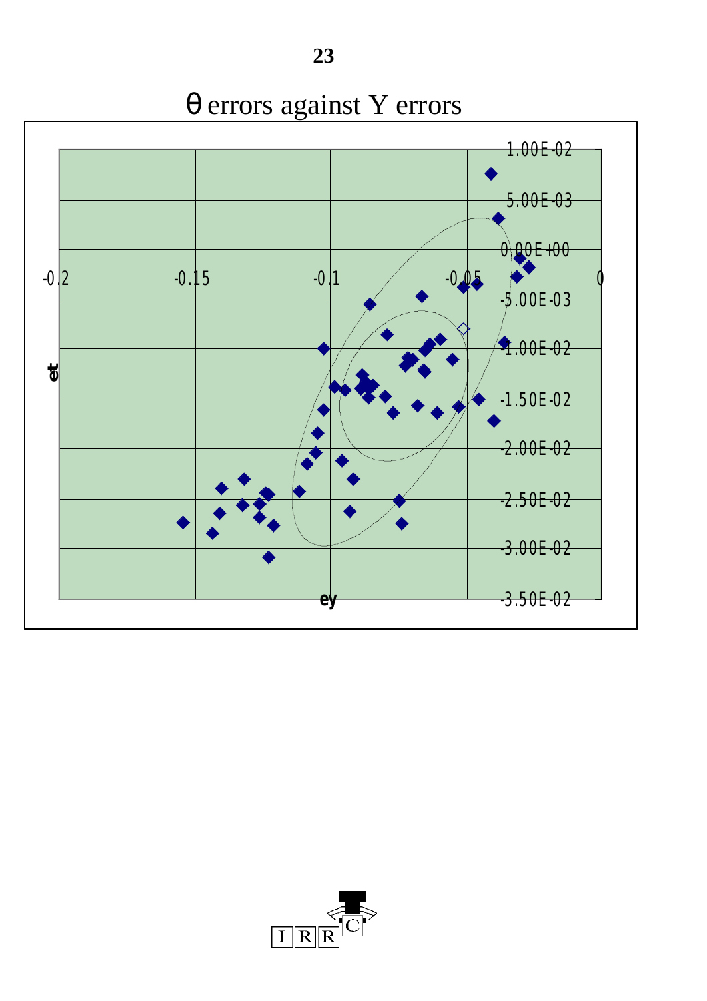



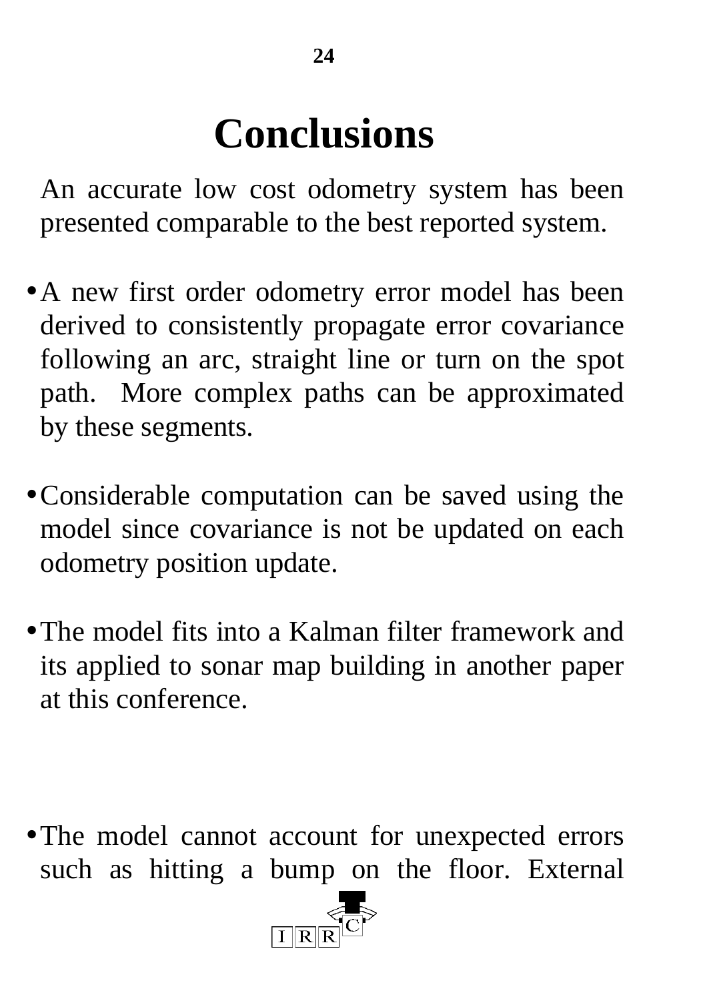## **Conclusions**

An accurate low cost odometry system has been presented comparable to the best reported system.

- A new first order odometry error model has been derived to consistently propagate error covariance following an arc, straight line or turn on the spot path. More complex paths can be approximated by these segments.
- •Considerable computation can be saved using the model since covariance is not be updated on each odometry position update.
- The model fits into a Kalman filter framework and its applied to sonar map building in another paper at this conference.

• The model cannot account for unexpected errors such as hitting a bump on the floor. External